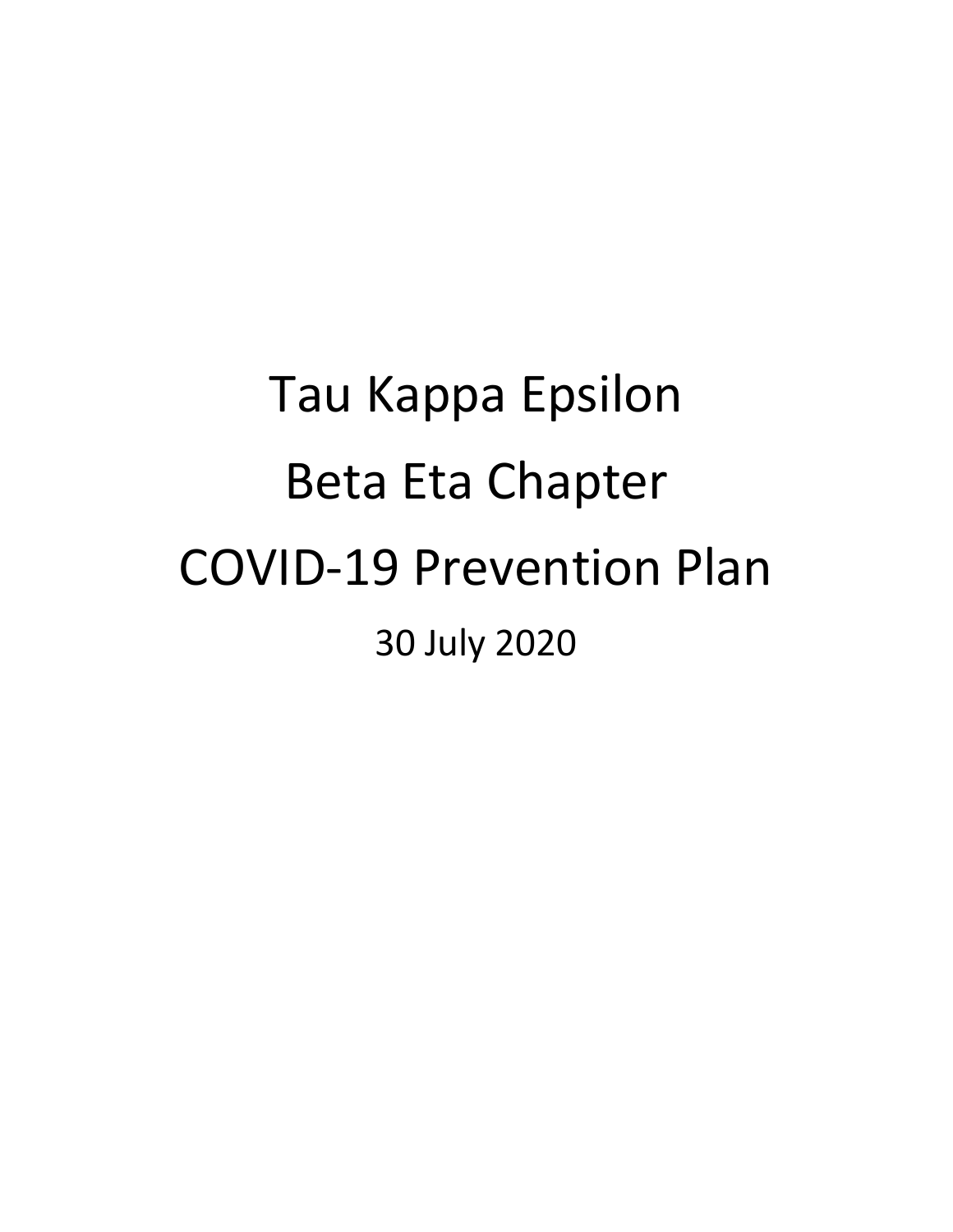# Tau Kappa Epsilon Beta Eta Chapter COVID-19 Prevention Plan 30 July 2020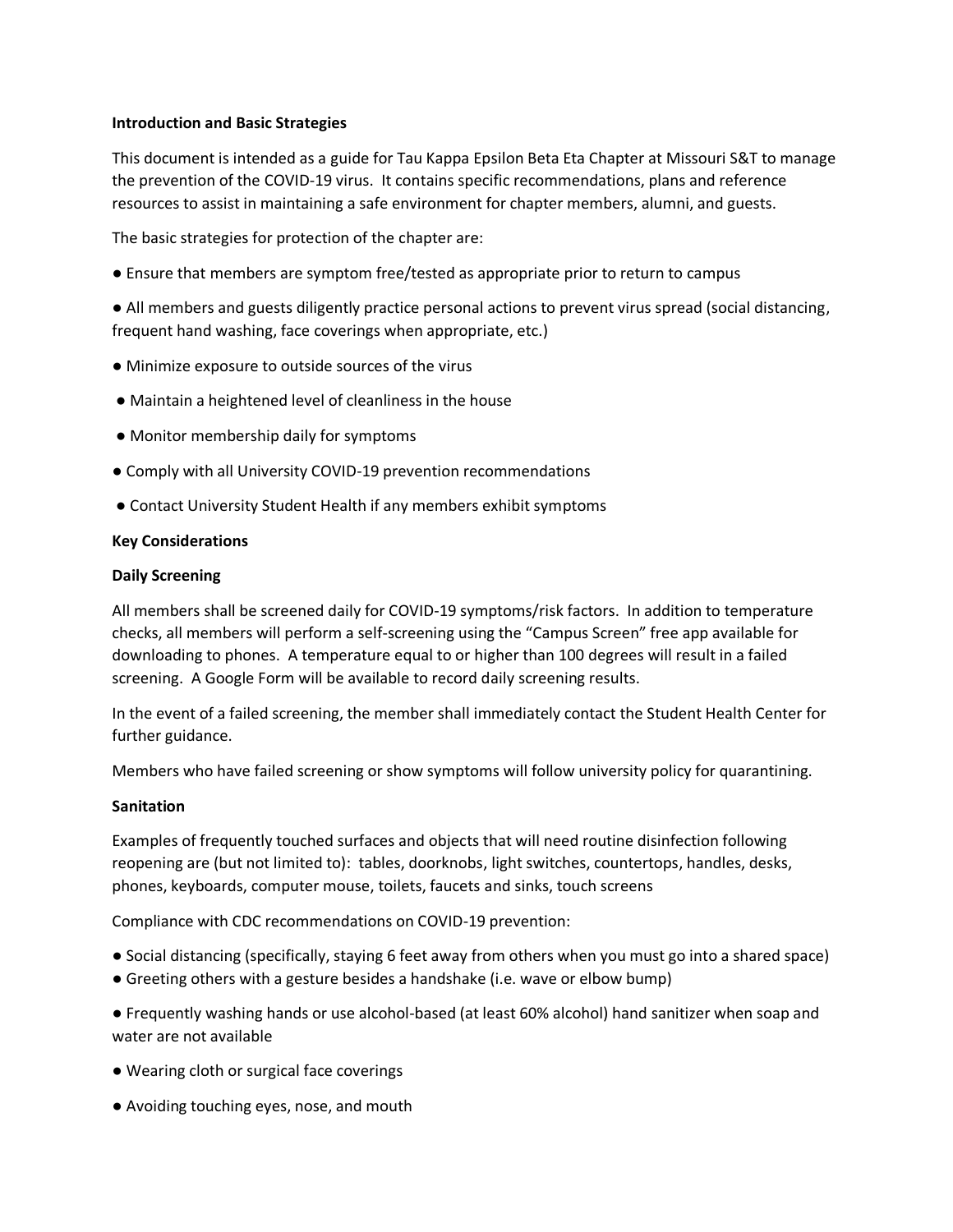#### **Introduction and Basic Strategies**

This document is intended as a guide for Tau Kappa Epsilon Beta Eta Chapter at Missouri S&T to manage the prevention of the COVID-19 virus. It contains specific recommendations, plans and reference resources to assist in maintaining a safe environment for chapter members, alumni, and guests.

The basic strategies for protection of the chapter are:

● Ensure that members are symptom free/tested as appropriate prior to return to campus

● All members and guests diligently practice personal actions to prevent virus spread (social distancing, frequent hand washing, face coverings when appropriate, etc.)

- Minimize exposure to outside sources of the virus
- Maintain a heightened level of cleanliness in the house
- Monitor membership daily for symptoms
- Comply with all University COVID-19 prevention recommendations
- Contact University Student Health if any members exhibit symptoms

#### **Key Considerations**

#### **Daily Screening**

All members shall be screened daily for COVID-19 symptoms/risk factors. In addition to temperature checks, all members will perform a self-screening using the "Campus Screen" free app available for downloading to phones. A temperature equal to or higher than 100 degrees will result in a failed screening. A Google Form will be available to record daily screening results.

In the event of a failed screening, the member shall immediately contact the Student Health Center for further guidance.

Members who have failed screening or show symptoms will follow university policy for quarantining.

#### **Sanitation**

Examples of frequently touched surfaces and objects that will need routine disinfection following reopening are (but not limited to): tables, doorknobs, light switches, countertops, handles, desks, phones, keyboards, computer mouse, toilets, faucets and sinks, touch screens

Compliance with CDC recommendations on COVID-19 prevention:

- Social distancing (specifically, staying 6 feet away from others when you must go into a shared space)
- Greeting others with a gesture besides a handshake (i.e. wave or elbow bump)

● Frequently washing hands or use alcohol-based (at least 60% alcohol) hand sanitizer when soap and water are not available

- Wearing cloth or surgical face coverings
- Avoiding touching eyes, nose, and mouth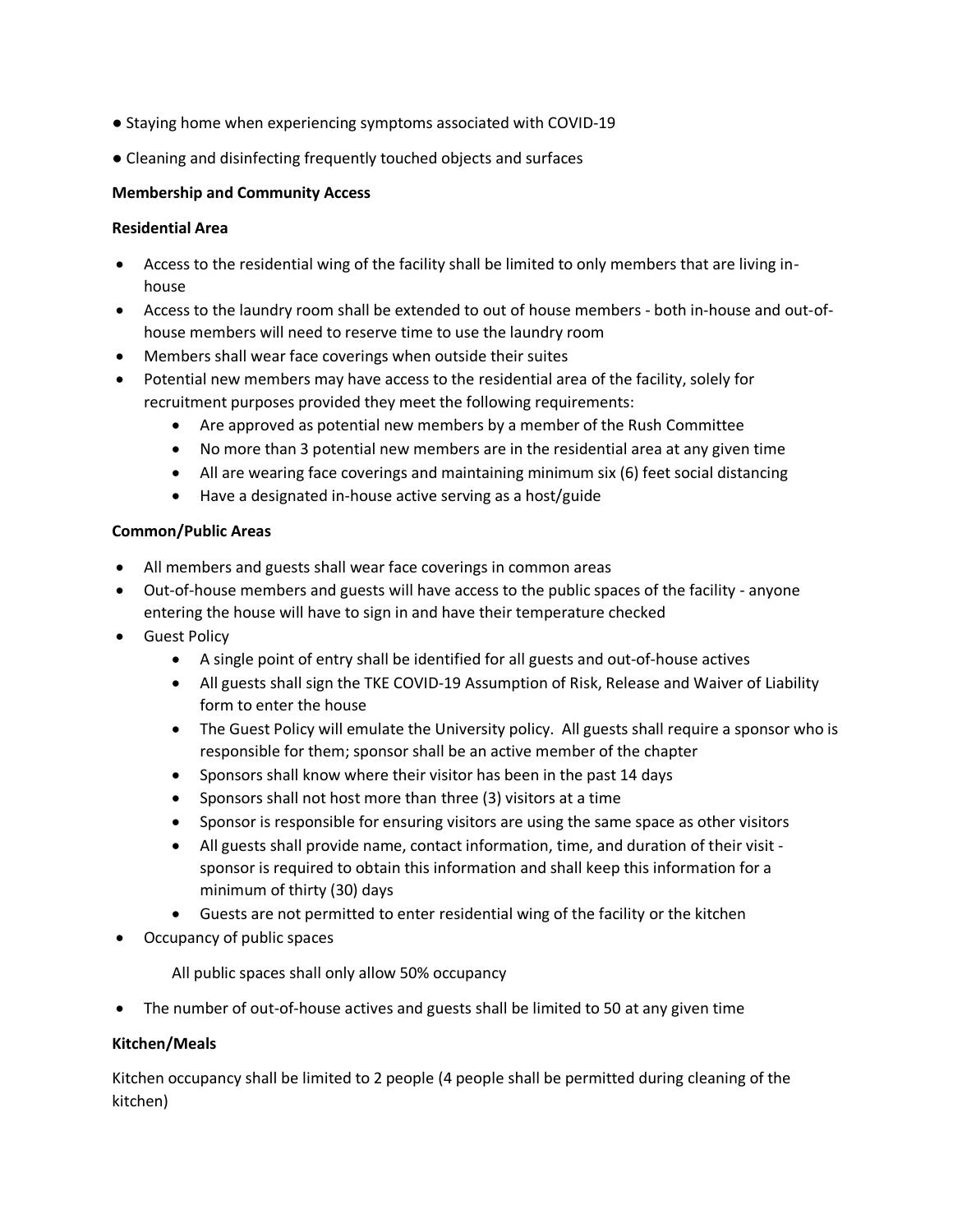- Staying home when experiencing symptoms associated with COVID-19
- Cleaning and disinfecting frequently touched objects and surfaces

# **Membership and Community Access**

# **Residential Area**

- Access to the residential wing of the facility shall be limited to only members that are living inhouse
- Access to the laundry room shall be extended to out of house members both in-house and out-ofhouse members will need to reserve time to use the laundry room
- Members shall wear face coverings when outside their suites
- Potential new members may have access to the residential area of the facility, solely for recruitment purposes provided they meet the following requirements:
	- Are approved as potential new members by a member of the Rush Committee
	- No more than 3 potential new members are in the residential area at any given time
	- All are wearing face coverings and maintaining minimum six (6) feet social distancing
	- Have a designated in-house active serving as a host/guide

# **Common/Public Areas**

- All members and guests shall wear face coverings in common areas
- Out-of-house members and guests will have access to the public spaces of the facility anyone entering the house will have to sign in and have their temperature checked
- **•** Guest Policy
	- A single point of entry shall be identified for all guests and out-of-house actives
	- All guests shall sign the TKE COVID-19 Assumption of Risk, Release and Waiver of Liability form to enter the house
	- The Guest Policy will emulate the University policy. All guests shall require a sponsor who is responsible for them; sponsor shall be an active member of the chapter
	- Sponsors shall know where their visitor has been in the past 14 days
	- Sponsors shall not host more than three (3) visitors at a time
	- Sponsor is responsible for ensuring visitors are using the same space as other visitors
	- All guests shall provide name, contact information, time, and duration of their visit sponsor is required to obtain this information and shall keep this information for a minimum of thirty (30) days
	- Guests are not permitted to enter residential wing of the facility or the kitchen
- Occupancy of public spaces

All public spaces shall only allow 50% occupancy

• The number of out-of-house actives and guests shall be limited to 50 at any given time

# **Kitchen/Meals**

Kitchen occupancy shall be limited to 2 people (4 people shall be permitted during cleaning of the kitchen)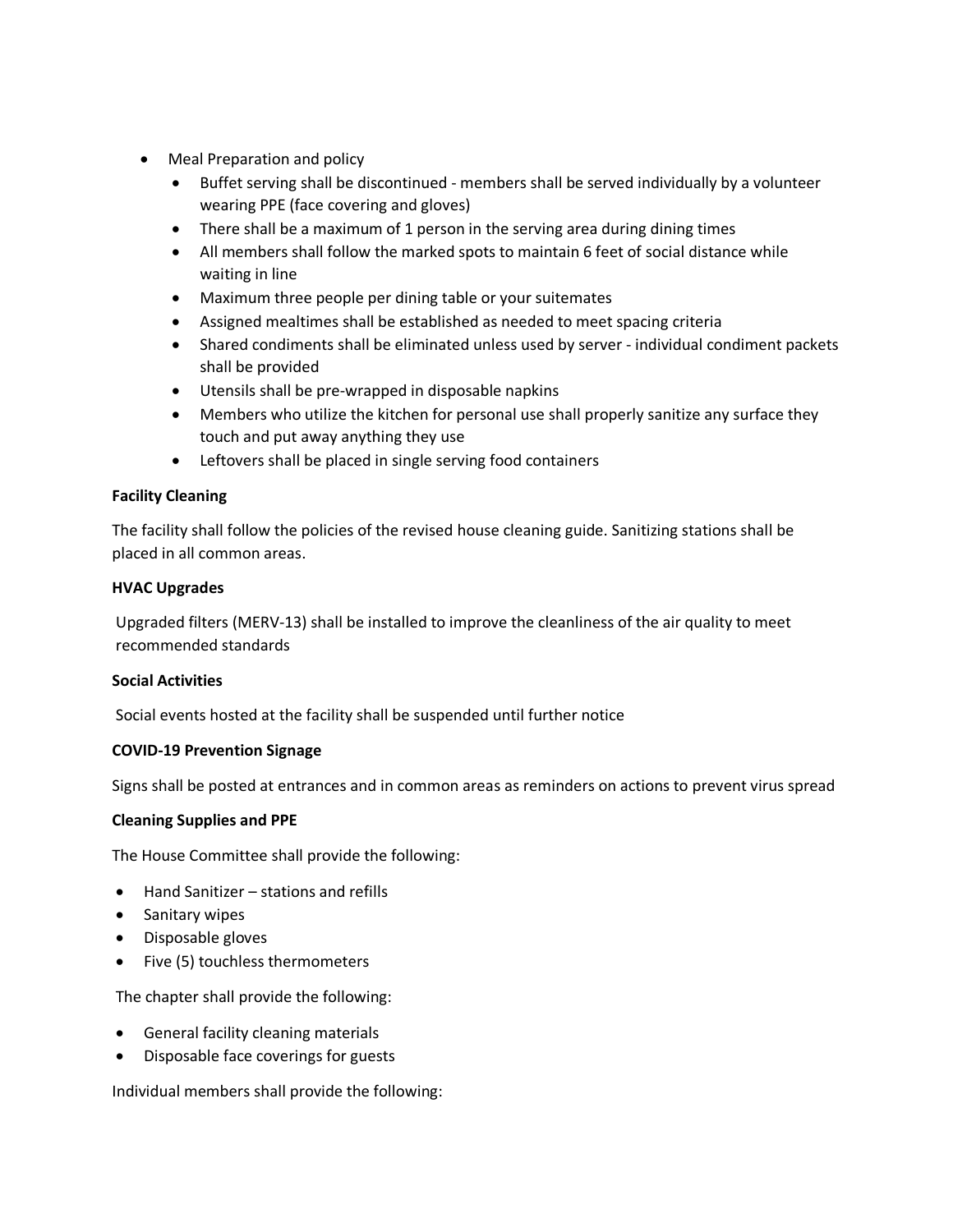- Meal Preparation and policy
	- Buffet serving shall be discontinued members shall be served individually by a volunteer wearing PPE (face covering and gloves)
	- There shall be a maximum of 1 person in the serving area during dining times
	- All members shall follow the marked spots to maintain 6 feet of social distance while waiting in line
	- Maximum three people per dining table or your suitemates
	- Assigned mealtimes shall be established as needed to meet spacing criteria
	- Shared condiments shall be eliminated unless used by server individual condiment packets shall be provided
	- Utensils shall be pre-wrapped in disposable napkins
	- Members who utilize the kitchen for personal use shall properly sanitize any surface they touch and put away anything they use
	- Leftovers shall be placed in single serving food containers

# **Facility Cleaning**

The facility shall follow the policies of the revised house cleaning guide. Sanitizing stations shall be placed in all common areas.

# **HVAC Upgrades**

Upgraded filters (MERV-13) shall be installed to improve the cleanliness of the air quality to meet recommended standards

# **Social Activities**

Social events hosted at the facility shall be suspended until further notice

# **COVID-19 Prevention Signage**

Signs shall be posted at entrances and in common areas as reminders on actions to prevent virus spread

# **Cleaning Supplies and PPE**

The House Committee shall provide the following:

- Hand Sanitizer stations and refills
- Sanitary wipes
- Disposable gloves
- Five (5) touchless thermometers

The chapter shall provide the following:

- General facility cleaning materials
- Disposable face coverings for guests

Individual members shall provide the following: